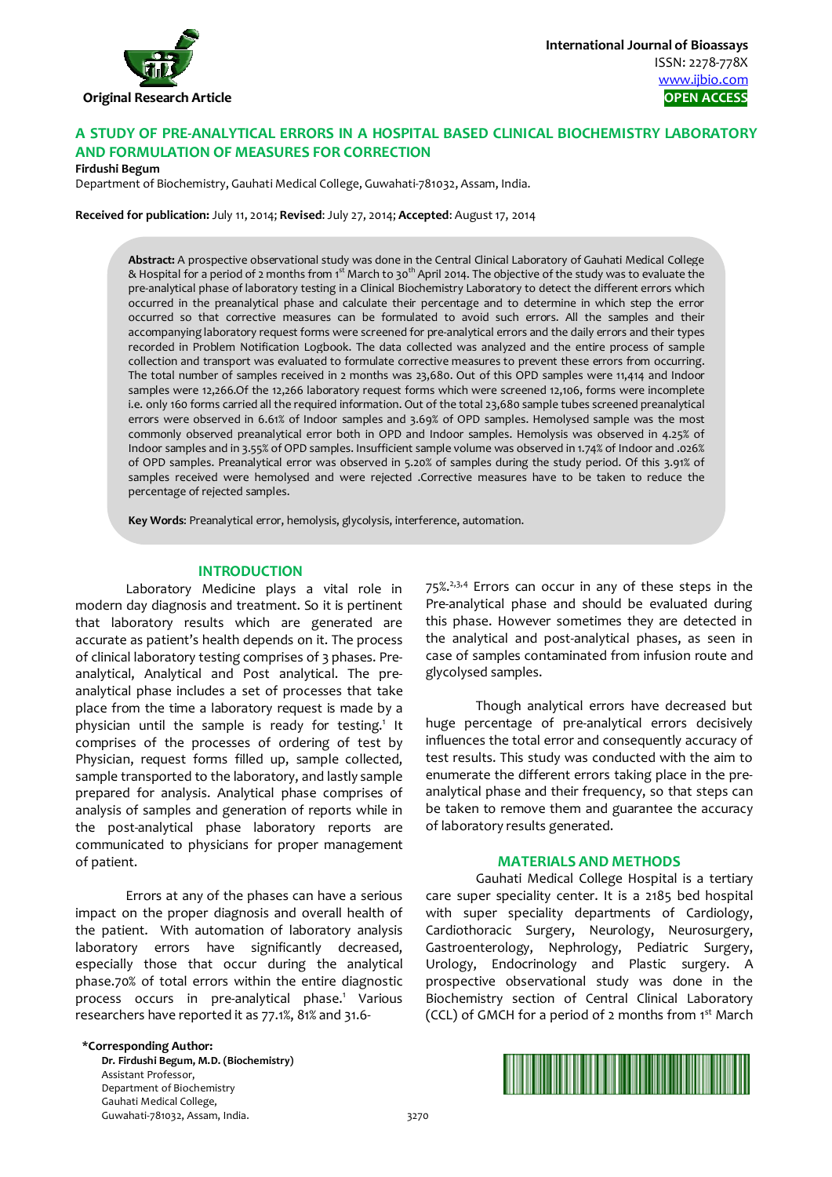

# **A STUDY OF PRE-ANALYTICAL ERRORS IN A HOSPITAL BASED CLINICAL BIOCHEMISTRY LABORATORY AND FORMULATION OF MEASURES FOR CORRECTION**

#### **Firdushi Begum**

Department of Biochemistry, Gauhati Medical College, Guwahati-781032, Assam, India.

**Received for publication:** July 11, 2014; **Revised**: July 27, 2014; **Accepted**: August 17, 2014

**Abstract:** A prospective observational study was done in the Central Clinical Laboratory of Gauhati Medical College & Hospital for a period of 2 months from 1<sup>st</sup> March to 30<sup>th</sup> April 2014. The objective of the study was to evaluate the pre-analytical phase of laboratory testing in a Clinical Biochemistry Laboratory to detect the different errors which occurred in the preanalytical phase and calculate their percentage and to determine in which step the error occurred so that corrective measures can be formulated to avoid such errors. All the samples and their accompanying laboratory request forms were screened for pre-analytical errors and the daily errors and their types recorded in Problem Notification Logbook. The data collected was analyzed and the entire process of sample collection and transport was evaluated to formulate corrective measures to prevent these errors from occurring. The total number of samples received in 2 months was 23,680. Out of this OPD samples were 11,414 and Indoor samples were 12,266.Of the 12,266 laboratory request forms which were screened 12,106, forms were incomplete i.e. only 160 forms carried all the required information. Out of the total 23,680 sample tubes screened preanalytical errors were observed in 6.61% of Indoor samples and 3.69% of OPD samples. Hemolysed sample was the most commonly observed preanalytical error both in OPD and Indoor samples. Hemolysis was observed in 4.25% of Indoor samples and in 3.55% of OPD samples. Insufficient sample volume was observed in 1.74% of Indoor and .026% of OPD samples. Preanalytical error was observed in 5.20% of samples during the study period. Of this 3.91% of samples received were hemolysed and were rejected .Corrective measures have to be taken to reduce the percentage of rejected samples.

**Key Words**: Preanalytical error, hemolysis, glycolysis, interference, automation.

#### **INTRODUCTION**

Laboratory Medicine plays a vital role in modern day diagnosis and treatment. So it is pertinent that laboratory results which are generated are accurate as patient's health depends on it. The process of clinical laboratory testing comprises of 3 phases. Preanalytical, Analytical and Post analytical. The preanalytical phase includes a set of processes that take place from the time a laboratory request is made by a physician until the sample is ready for testing.<sup>1</sup> It comprises of the processes of ordering of test by Physician, request forms filled up, sample collected, sample transported to the laboratory, and lastly sample prepared for analysis. Analytical phase comprises of analysis of samples and generation of reports while in the post-analytical phase laboratory reports are communicated to physicians for proper management of patient.

Errors at any of the phases can have a serious impact on the proper diagnosis and overall health of the patient. With automation of laboratory analysis laboratory errors have significantly decreased, especially those that occur during the analytical phase.70% of total errors within the entire diagnostic process occurs in pre-analytical phase.<sup>1</sup> Various researchers have reported it as 77.1%, 81% and 31.6-

75%.2,3,4 Errors can occur in any of these steps in the Pre-analytical phase and should be evaluated during this phase. However sometimes they are detected in the analytical and post-analytical phases, as seen in case of samples contaminated from infusion route and glycolysed samples.

Though analytical errors have decreased but huge percentage of pre-analytical errors decisively influences the total error and consequently accuracy of test results. This study was conducted with the aim to enumerate the different errors taking place in the preanalytical phase and their frequency, so that steps can be taken to remove them and guarantee the accuracy of laboratory results generated.

#### **MATERIALS AND METHODS**

Gauhati Medical College Hospital is a tertiary care super speciality center. It is a 2185 bed hospital with super speciality departments of Cardiology, Cardiothoracic Surgery, Neurology, Neurosurgery, Gastroenterology, Nephrology, Pediatric Surgery, Urology, Endocrinology and Plastic surgery. A prospective observational study was done in the Biochemistry section of Central Clinical Laboratory (CCL) of GMCH for a period of 2 months from 1st March

#### **\*Corresponding Author:**

**Dr. Firdushi Begum, M.D. (Biochemistry)**  Assistant Professor, Department of Biochemistry Gauhati Medical College, Guwahati-781032, Assam, India. 3270

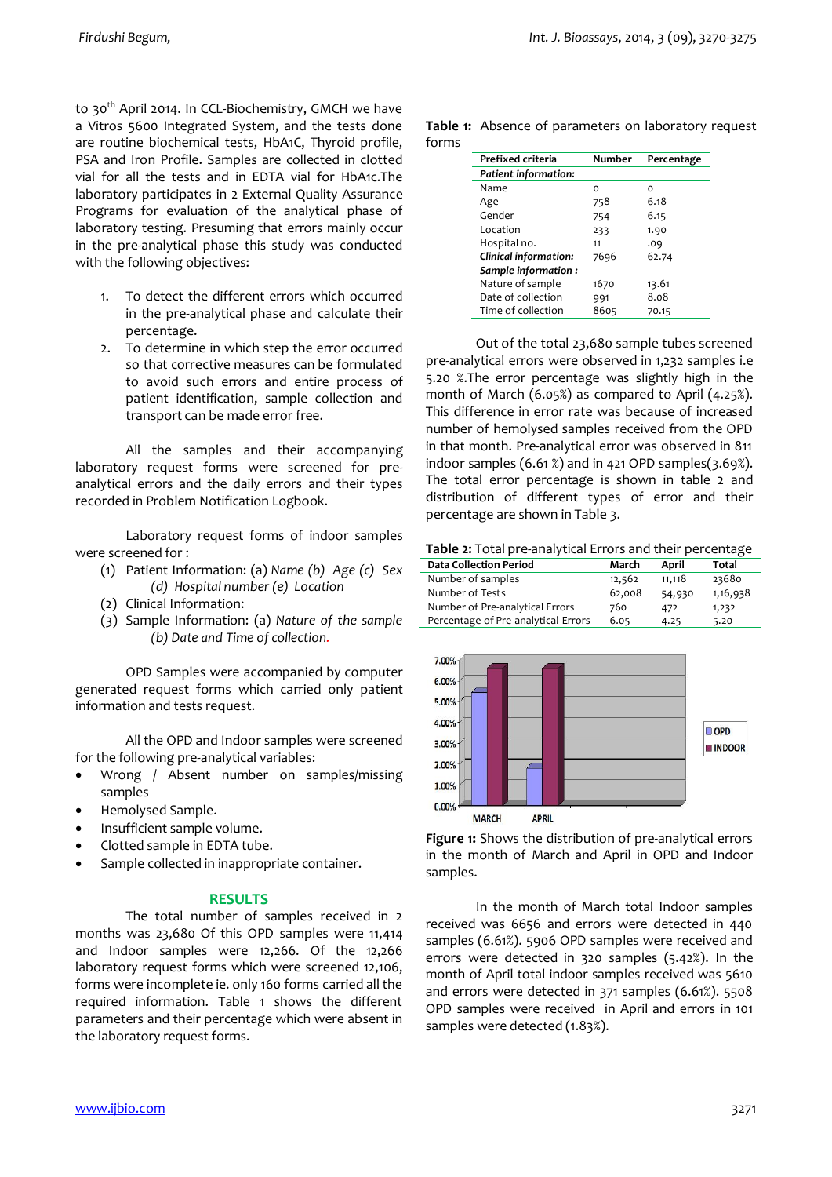to 30<sup>th</sup> April 2014. In CCL-Biochemistry, GMCH we have a Vitros 5600 Integrated System, and the tests done are routine biochemical tests, HbA1C, Thyroid profile, PSA and Iron Profile. Samples are collected in clotted vial for all the tests and in EDTA vial for HbA1c.The laboratory participates in 2 External Quality Assurance Programs for evaluation of the analytical phase of laboratory testing. Presuming that errors mainly occur in the pre-analytical phase this study was conducted with the following objectives:

- 1. To detect the different errors which occurred in the pre-analytical phase and calculate their percentage.
- 2. To determine in which step the error occurred so that corrective measures can be formulated to avoid such errors and entire process of patient identification, sample collection and transport can be made error free.

All the samples and their accompanying laboratory request forms were screened for preanalytical errors and the daily errors and their types recorded in Problem Notification Logbook.

Laboratory request forms of indoor samples were screened for :

- (1) Patient Information: (a) *Name (b) Age (c) Sex (d) Hospital number (e) Location*
- (2) Clinical Information:
- (3) Sample Information: (a) *Nature of the sample (b) Date and Time of collection.*

OPD Samples were accompanied by computer generated request forms which carried only patient information and tests request.

All the OPD and Indoor samples were screened for the following pre-analytical variables:

- Wrong / Absent number on samples/missing samples
- Hemolysed Sample.
- Insufficient sample volume.
- Clotted sample in EDTA tube.
- Sample collected in inappropriate container.

## **RESULTS**

The total number of samples received in 2 months was 23,680 Of this OPD samples were 11,414 and Indoor samples were 12,266. Of the 12,266 laboratory request forms which were screened 12,106, forms were incomplete ie. only 160 forms carried all the required information. Table 1 shows the different parameters and their percentage which were absent in the laboratory request forms.

**Table 1:** Absence of parameters on laboratory request forms

| Prefixed criteria           | <b>Number</b> | Percentage |
|-----------------------------|---------------|------------|
| <b>Patient information:</b> |               |            |
| Name                        | O             | O          |
| Age                         | 758           | 6.18       |
| Gender                      | 754           | 6.15       |
| Location                    | 233           | 1.90       |
| Hospital no.                | 11            | 0۹.        |
| Clinical information:       | 7696          | 62.74      |
| Sample information:         |               |            |
| Nature of sample            | 1670          | 13.61      |
| Date of collection          | 991           | 8.08       |
| Time of collection          | 8605          | 70.15      |
|                             |               |            |

Out of the total 23,680 sample tubes screened pre-analytical errors were observed in 1,232 samples i.e 5.20 %.The error percentage was slightly high in the month of March (6.05%) as compared to April (4.25%). This difference in error rate was because of increased number of hemolysed samples received from the OPD in that month. Pre-analytical error was observed in 811 indoor samples  $(6.61 \text{ %})$  and in 421 OPD samples $(3.69 \text{ %})$ . The total error percentage is shown in table 2 and distribution of different types of error and their percentage are shown in Table 3.

**Table 2:** Total pre-analytical Errors and their percentage

| <b>Data Collection Period</b>       | March  | April  | Total    |
|-------------------------------------|--------|--------|----------|
| Number of samples                   | 12,562 | 11,118 | 23680    |
| Number of Tests                     | 62,008 | 54,930 | 1,16,938 |
| Number of Pre-analytical Errors     | 760    | 472    | 1,232    |
| Percentage of Pre-analytical Errors | 6.05   | 4.25   | 5.20     |



**Figure 1:** Shows the distribution of pre-analytical errors in the month of March and April in OPD and Indoor samples.

In the month of March total Indoor samples received was 6656 and errors were detected in 440 samples (6.61%). 5906 OPD samples were received and errors were detected in 320 samples (5.42%). In the month of April total indoor samples received was 5610 and errors were detected in 371 samples (6.61%). 5508 OPD samples were received in April and errors in 101 samples were detected (1.83%).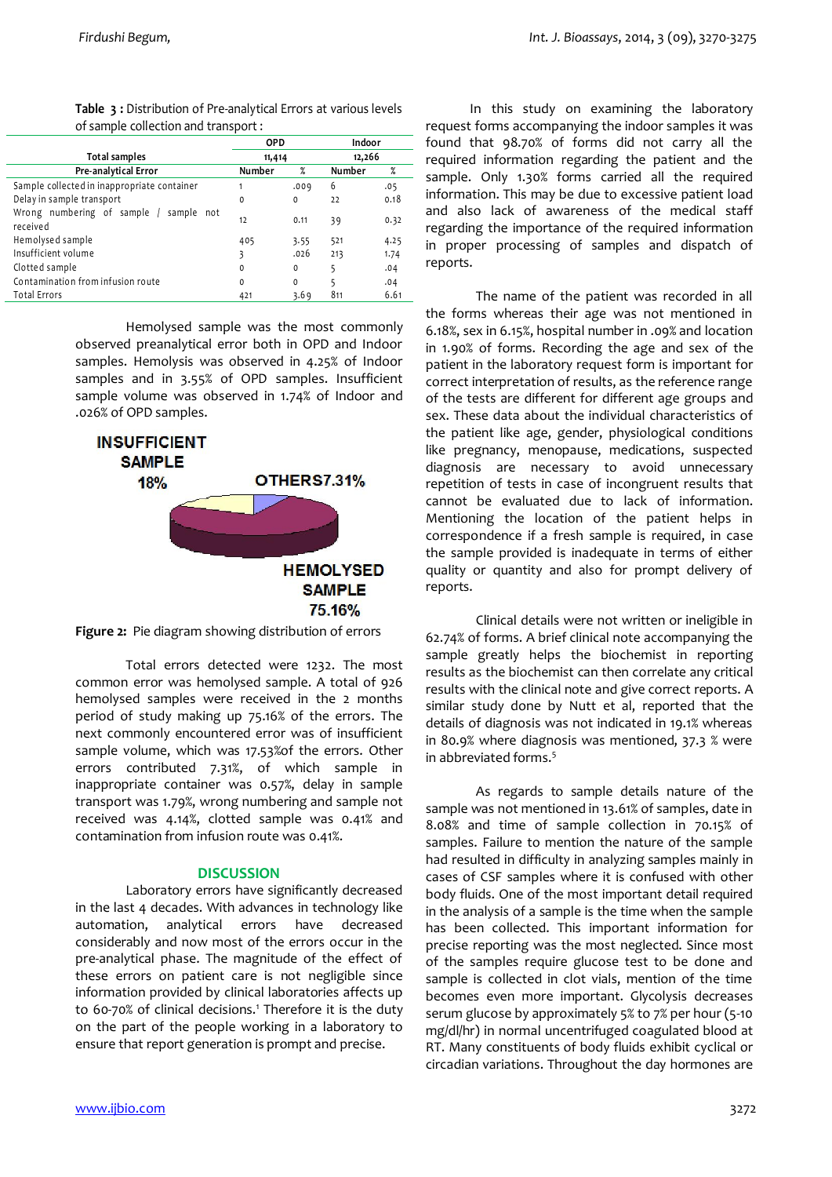| Table 3 : Distribution of Pre-analytical Errors at various levels |            |        |  |
|-------------------------------------------------------------------|------------|--------|--|
| of sample collection and transport :                              |            |        |  |
|                                                                   | <b>OPD</b> | Indoor |  |
| Tatal complex                                                     |            |        |  |

|                                                    | 11,414        |             | 12,266 |      |
|----------------------------------------------------|---------------|-------------|--------|------|
| Total samples                                      |               |             |        |      |
| Pre-analytical Error                               | <b>Number</b> | $\%$        | Number | $\%$ |
| Sample collected in inappropriate container        |               | .009        | 6      | .05  |
| Delay in sample transport                          | 0             | 0           | 22     | 0.18 |
| Wrong numbering of sample / sample not<br>received | 12            | 0.11        | 39     | 0.32 |
| Hemolysed sample                                   | 405           | 3.55        | 521    | 4.25 |
| Insufficient volume                                | 3             | .026        | 213    | 1.74 |
| Clotted sample                                     | $\Omega$      | $\mathbf 0$ | 5      | .04  |
| Contamination from infusion route                  | 0             | 0           | 5      | .04  |
| <b>Total Errors</b>                                | 421           | 3.69        | 811    | 6.61 |

Hemolysed sample was the most commonly observed preanalytical error both in OPD and Indoor samples. Hemolysis was observed in 4.25% of Indoor samples and in 3.55% of OPD samples. Insufficient sample volume was observed in 1.74% of Indoor and .026% of OPD samples.





Total errors detected were 1232. The most common error was hemolysed sample. A total of 926 hemolysed samples were received in the 2 months period of study making up 75.16% of the errors. The next commonly encountered error was of insufficient sample volume, which was 17.53%of the errors. Other errors contributed 7.31%, of which sample in inappropriate container was 0.57%, delay in sample transport was 1.79%, wrong numbering and sample not received was 4.14%, clotted sample was 0.41% and contamination from infusion route was 0.41%.

## **DISCUSSION**

Laboratory errors have significantly decreased in the last 4 decades. With advances in technology like automation, analytical errors have decreased considerably and now most of the errors occur in the pre-analytical phase. The magnitude of the effect of these errors on patient care is not negligible since information provided by clinical laboratories affects up to 60-70% of clinical decisions.<sup>1</sup> Therefore it is the duty on the part of the people working in a laboratory to ensure that report generation is prompt and precise.

 In this study on examining the laboratory request forms accompanying the indoor samples it was found that 98.70% of forms did not carry all the required information regarding the patient and the sample. Only 1.30% forms carried all the required information. This may be due to excessive patient load and also lack of awareness of the medical staff regarding the importance of the required information in proper processing of samples and dispatch of reports.

The name of the patient was recorded in all the forms whereas their age was not mentioned in 6.18%, sex in 6.15%, hospital number in .09% and location in 1.90% of forms. Recording the age and sex of the patient in the laboratory request form is important for correct interpretation of results, as the reference range of the tests are different for different age groups and sex. These data about the individual characteristics of the patient like age, gender, physiological conditions like pregnancy, menopause, medications, suspected diagnosis are necessary to avoid unnecessary repetition of tests in case of incongruent results that cannot be evaluated due to lack of information. Mentioning the location of the patient helps in correspondence if a fresh sample is required, in case the sample provided is inadequate in terms of either quality or quantity and also for prompt delivery of reports.

Clinical details were not written or ineligible in 62.74% of forms. A brief clinical note accompanying the sample greatly helps the biochemist in reporting results as the biochemist can then correlate any critical results with the clinical note and give correct reports. A similar study done by Nutt et al, reported that the details of diagnosis was not indicated in 19.1% whereas in 80.9% where diagnosis was mentioned, 37.3 % were in abbreviated forms.<sup>5</sup>

As regards to sample details nature of the sample was not mentioned in 13.61% of samples, date in 8.08% and time of sample collection in 70.15% of samples. Failure to mention the nature of the sample had resulted in difficulty in analyzing samples mainly in cases of CSF samples where it is confused with other body fluids. One of the most important detail required in the analysis of a sample is the time when the sample has been collected. This important information for precise reporting was the most neglected. Since most of the samples require glucose test to be done and sample is collected in clot vials, mention of the time becomes even more important. Glycolysis decreases serum glucose by approximately 5% to 7% per hour (5-10 mg/dl/hr) in normal uncentrifuged coagulated blood at RT. Many constituents of body fluids exhibit cyclical or circadian variations. Throughout the day hormones are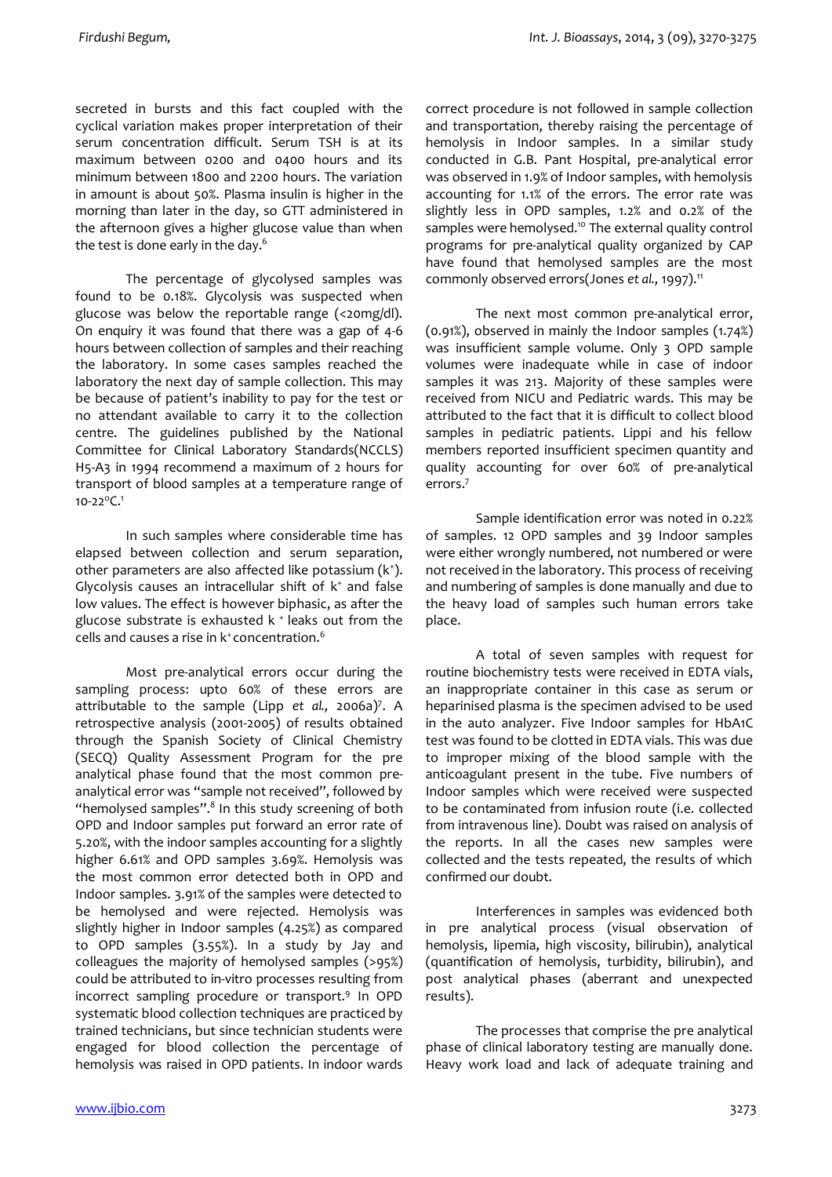secreted in bursts and this fact coupled with the cyclical variation makes proper interpretation of their serum concentration difficult. Serum TSH is at its maximum between 0200 and 0400 hours and its minimum between 1800 and 2200 hours. The variation in amount is about 50%. Plasma insulin is higher in the morning than later in the day, so GTT administered in the afternoon gives a higher glucose value than when the test is done early in the day.<sup>6</sup>

The percentage of glycolysed samples was found to be 0.18%. Glycolysis was suspected when glucose was below the reportable range (<20mg/dl). On enquiry it was found that there was a gap of 4-6 hours between collection of samples and their reaching the laboratory. In some cases samples reached the laboratory the next day of sample collection. This may be because of patient's inability to pay for the test or no attendant available to carry it to the collection centre. The guidelines published by the National Committee for Clinical Laboratory Standards(NCCLS) H5-A3 in 1994 recommend a maximum of 2 hours for transport of blood samples at a temperature range of 10-22 $^{\circ}$ C.<sup>1</sup>

In such samples where considerable time has elapsed between collection and serum separation, other parameters are also affected like potassium (k<sup>+</sup>). Glycolysis causes an intracellular shift of  $k^*$  and false low values. The effect is however biphasic, as after the glucose substrate is exhausted  $k^+$  leaks out from the cells and causes a rise in k<sup>+</sup> concentration.<sup>6</sup>

Most pre-analytical errors occur during the sampling process: upto 60% of these errors are attributable to the sample (Lipp *et al.,* 2006a)7 . A retrospective analysis (2001-2005) of results obtained through the Spanish Society of Clinical Chemistry (SECQ) Quality Assessment Program for the pre analytical phase found that the most common preanalytical error was "sample not received", followed by "hemolysed samples". $8$  In this study screening of both OPD and Indoor samples put forward an error rate of 5.20%, with the indoor samples accounting for a slightly higher 6.61% and OPD samples 3.69%. Hemolysis was the most common error detected both in OPD and Indoor samples. 3.91% of the samples were detected to be hemolysed and were rejected. Hemolysis was slightly higher in Indoor samples (4.25%) as compared to OPD samples (3.55%). In a study by Jay and colleagues the majority of hemolysed samples (>95%) could be attributed to in-vitro processes resulting from incorrect sampling procedure or transport.9 In OPD systematic blood collection techniques are practiced by trained technicians, but since technician students were engaged for blood collection the percentage of hemolysis was raised in OPD patients. In indoor wards

correct procedure is not followed in sample collection and transportation, thereby raising the percentage of hemolysis in Indoor samples. In a similar study conducted in G.B. Pant Hospital, pre-analytical error was observed in 1.9% of Indoor samples, with hemolysis accounting for 1.1% of the errors. The error rate was slightly less in OPD samples, 1.2% and 0.2% of the samples were hemolysed.<sup>10</sup> The external quality control programs for pre-analytical quality organized by CAP have found that hemolysed samples are the most commonly observed errors(Jones *et al.*, 1997).<sup>11</sup>

The next most common pre-analytical error, (0.91%), observed in mainly the Indoor samples (1.74%) was insufficient sample volume. Only 3 OPD sample volumes were inadequate while in case of indoor samples it was 213. Majority of these samples were received from NICU and Pediatric wards. This may be attributed to the fact that it is difficult to collect blood samples in pediatric patients. Lippi and his fellow members reported insufficient specimen quantity and quality accounting for over 60% of pre-analytical errors.7

Sample identification error was noted in 0.22% of samples. 12 OPD samples and 39 Indoor samples were either wrongly numbered, not numbered or were not received in the laboratory. This process of receiving and numbering of samples is done manually and due to the heavy load of samples such human errors take place.

A total of seven samples with request for routine biochemistry tests were received in EDTA vials, an inappropriate container in this case as serum or heparinised plasma is the specimen advised to be used in the auto analyzer. Five Indoor samples for HbA1C test was found to be clotted in EDTA vials. This was due to improper mixing of the blood sample with the anticoagulant present in the tube. Five numbers of Indoor samples which were received were suspected to be contaminated from infusion route (i.e. collected from intravenous line). Doubt was raised on analysis of the reports. In all the cases new samples were collected and the tests repeated, the results of which confirmed our doubt.

Interferences in samples was evidenced both in pre analytical process (visual observation of hemolysis, lipemia, high viscosity, bilirubin), analytical (quantification of hemolysis, turbidity, bilirubin), and post analytical phases (aberrant and unexpected results).

The processes that comprise the pre analytical phase of clinical laboratory testing are manually done. Heavy work load and lack of adequate training and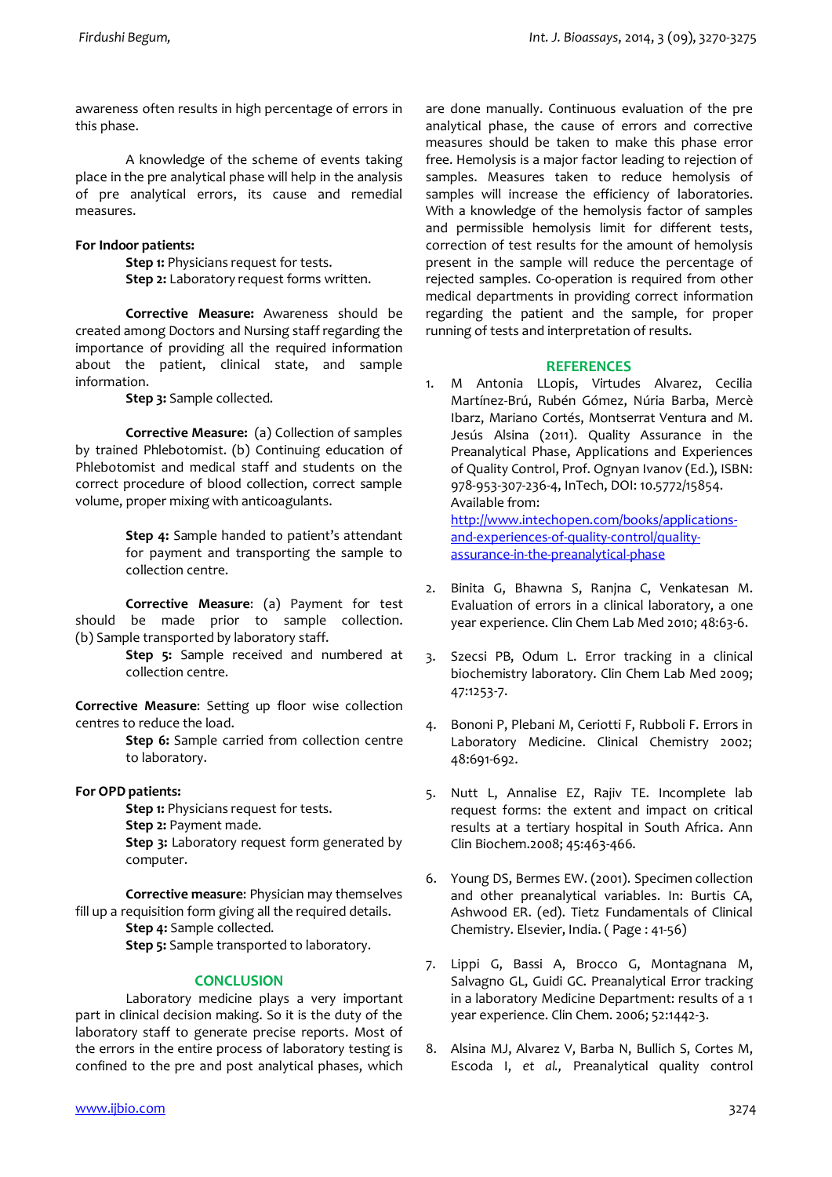awareness often results in high percentage of errors in this phase.

A knowledge of the scheme of events taking place in the pre analytical phase will help in the analysis of pre analytical errors, its cause and remedial measures.

## **For Indoor patients:**

**Step 1:** Physicians request for tests. **Step 2:** Laboratory request forms written.

**Corrective Measure:** Awareness should be created among Doctors and Nursing staff regarding the importance of providing all the required information about the patient, clinical state, and sample information.

**Step 3:** Sample collected.

**Corrective Measure:** (a) Collection of samples by trained Phlebotomist. (b) Continuing education of Phlebotomist and medical staff and students on the correct procedure of blood collection, correct sample volume, proper mixing with anticoagulants.

> **Step 4:** Sample handed to patient's attendant for payment and transporting the sample to collection centre.

**Corrective Measure**: (a) Payment for test should be made prior to sample collection. (b) Sample transported by laboratory staff.

> **Step 5:** Sample received and numbered at collection centre.

**Corrective Measure**: Setting up floor wise collection centres to reduce the load.

> **Step 6:** Sample carried from collection centre to laboratory.

# **For OPD patients:**

**Step 1:** Physicians request for tests.

**Step 2:** Payment made.

**Step 3:** Laboratory request form generated by computer.

**Corrective measure**: Physician may themselves fill up a requisition form giving all the required details. **Step 4:** Sample collected.

**Step 5:** Sample transported to laboratory.

# **CONCLUSION**

Laboratory medicine plays a very important part in clinical decision making. So it is the duty of the laboratory staff to generate precise reports. Most of the errors in the entire process of laboratory testing is confined to the pre and post analytical phases, which

are done manually. Continuous evaluation of the pre analytical phase, the cause of errors and corrective measures should be taken to make this phase error free. Hemolysis is a major factor leading to rejection of samples. Measures taken to reduce hemolysis of samples will increase the efficiency of laboratories. With a knowledge of the hemolysis factor of samples and permissible hemolysis limit for different tests, correction of test results for the amount of hemolysis present in the sample will reduce the percentage of rejected samples. Co-operation is required from other medical departments in providing correct information regarding the patient and the sample, for proper running of tests and interpretation of results.

## **REFERENCES**

1. M Antonia LLopis, Virtudes Alvarez, Cecilia Martínez-Brú, Rubén Gómez, Núria Barba, Mercè Ibarz, Mariano Cortés, Montserrat Ventura and M. Jesús Alsina (2011). Quality Assurance in the Preanalytical Phase, Applications and Experiences of Quality Control, Prof. Ognyan Ivanov (Ed.), ISBN: 978-953-307-236-4, InTech, DOI: 10.5772/15854. Available from: http://www.intechopen.com/books/applications-

and-experiences-of-quality-control/qualityassurance-in-the-preanalytical-phase

- 2. Binita G, Bhawna S, Ranjna C, Venkatesan M. Evaluation of errors in a clinical laboratory, a one year experience. Clin Chem Lab Med 2010; 48:63-6.
- 3. Szecsi PB, Odum L. Error tracking in a clinical biochemistry laboratory. Clin Chem Lab Med 2009; 47:1253-7.
- 4. Bononi P, Plebani M, Ceriotti F, Rubboli F. Errors in Laboratory Medicine. Clinical Chemistry 2002; 48:691-692.
- 5. Nutt L, Annalise EZ, Rajiv TE. Incomplete lab request forms: the extent and impact on critical results at a tertiary hospital in South Africa. Ann Clin Biochem.2008; 45:463-466.
- 6. Young DS, Bermes EW. (2001). Specimen collection and other preanalytical variables. In: Burtis CA, Ashwood ER. (ed). Tietz Fundamentals of Clinical Chemistry. Elsevier, India. ( Page : 41-56)
- 7. Lippi G, Bassi A, Brocco G, Montagnana M, Salvagno GL, Guidi GC. Preanalytical Error tracking in a laboratory Medicine Department: results of a 1 year experience. Clin Chem. 2006; 52:1442-3.
- 8. Alsina MJ, Alvarez V, Barba N, Bullich S, Cortes M, Escoda I, *et al.,* Preanalytical quality control